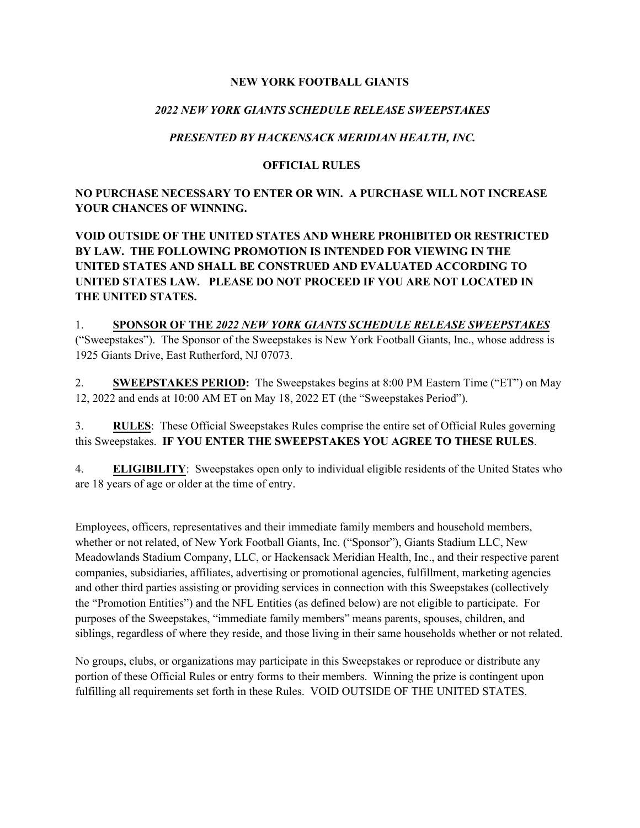#### **NEW YORK FOOTBALL GIANTS**

### *2022 NEW YORK GIANTS SCHEDULE RELEASE SWEEPSTAKES*

## *PRESENTED BY HACKENSACK MERIDIAN HEALTH, INC.*

#### **OFFICIAL RULES**

## **NO PURCHASE NECESSARY TO ENTER OR WIN. A PURCHASE WILL NOT INCREASE YOUR CHANCES OF WINNING.**

**VOID OUTSIDE OF THE UNITED STATES AND WHERE PROHIBITED OR RESTRICTED BY LAW. THE FOLLOWING PROMOTION IS INTENDED FOR VIEWING IN THE UNITED STATES AND SHALL BE CONSTRUED AND EVALUATED ACCORDING TO UNITED STATES LAW. PLEASE DO NOT PROCEED IF YOU ARE NOT LOCATED IN THE UNITED STATES.**

1. **SPONSOR OF THE** *2022 NEW YORK GIANTS SCHEDULE RELEASE SWEEPSTAKES* ("Sweepstakes"). The Sponsor of the Sweepstakes is New York Football Giants, Inc., whose address is 1925 Giants Drive, East Rutherford, NJ 07073.

2. **SWEEPSTAKES PERIOD:** The Sweepstakes begins at 8:00 PM Eastern Time ("ET") on May 12, 2022 and ends at 10:00 AM ET on May 18, 2022 ET (the "Sweepstakes Period").

3. **RULES**: These Official Sweepstakes Rules comprise the entire set of Official Rules governing this Sweepstakes. **IF YOU ENTER THE SWEEPSTAKES YOU AGREE TO THESE RULES**.

4. **ELIGIBILITY**: Sweepstakes open only to individual eligible residents of the United States who are 18 years of age or older at the time of entry.

Employees, officers, representatives and their immediate family members and household members, whether or not related, of New York Football Giants, Inc. ("Sponsor"), Giants Stadium LLC, New Meadowlands Stadium Company, LLC, or Hackensack Meridian Health, Inc., and their respective parent companies, subsidiaries, affiliates, advertising or promotional agencies, fulfillment, marketing agencies and other third parties assisting or providing services in connection with this Sweepstakes (collectively the "Promotion Entities") and the NFL Entities (as defined below) are not eligible to participate. For purposes of the Sweepstakes, "immediate family members" means parents, spouses, children, and siblings, regardless of where they reside, and those living in their same households whether or not related.

No groups, clubs, or organizations may participate in this Sweepstakes or reproduce or distribute any portion of these Official Rules or entry forms to their members. Winning the prize is contingent upon fulfilling all requirements set forth in these Rules. VOID OUTSIDE OF THE UNITED STATES.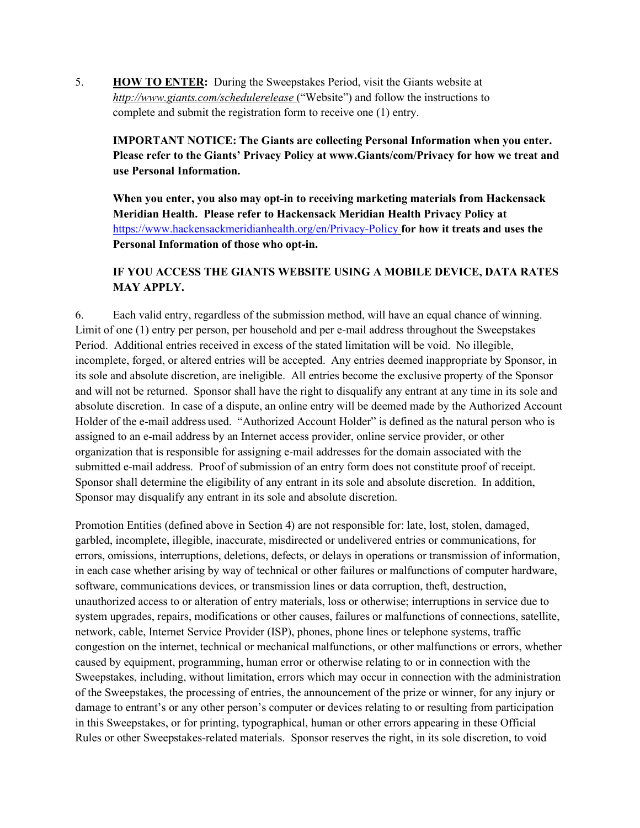5. **HOW TO ENTER:** During the Sweepstakes Period, visit the Giants website at *http://www.giants.com/schedulerelease* ("Website") and follow the instructions to complete and submit the registration form to receive one (1) entry.

**IMPORTANT NOTICE: The Giants are collecting Personal Information when you enter. Please refer to the Giants' Privacy Policy at www.Giants/com/Privacy for how we treat and use Personal Information.** 

**When you enter, you also may opt-in to receiving marketing materials from Hackensack Meridian Health. Please refer to Hackensack Meridian Health Privacy Policy at** <https://www.hackensackmeridianhealth.org/en/Privacy-Policy> **for how it treats and uses the Personal Information of those who opt-in.**

### **IF YOU ACCESS THE GIANTS WEBSITE USING A MOBILE DEVICE, DATA RATES MAY APPLY.**

6. Each valid entry, regardless of the submission method, will have an equal chance of winning. Limit of one (1) entry per person, per household and per e-mail address throughout the Sweepstakes Period. Additional entries received in excess of the stated limitation will be void. No illegible, incomplete, forged, or altered entries will be accepted. Any entries deemed inappropriate by Sponsor, in its sole and absolute discretion, are ineligible. All entries become the exclusive property of the Sponsor and will not be returned. Sponsor shall have the right to disqualify any entrant at any time in its sole and absolute discretion. In case of a dispute, an online entry will be deemed made by the Authorized Account Holder of the e-mail address used. "Authorized Account Holder" is defined as the natural person who is assigned to an e-mail address by an Internet access provider, online service provider, or other organization that is responsible for assigning e-mail addresses for the domain associated with the submitted e-mail address. Proof of submission of an entry form does not constitute proof of receipt. Sponsor shall determine the eligibility of any entrant in its sole and absolute discretion. In addition, Sponsor may disqualify any entrant in its sole and absolute discretion.

Promotion Entities (defined above in Section 4) are not responsible for: late, lost, stolen, damaged, garbled, incomplete, illegible, inaccurate, misdirected or undelivered entries or communications, for errors, omissions, interruptions, deletions, defects, or delays in operations or transmission of information, in each case whether arising by way of technical or other failures or malfunctions of computer hardware, software, communications devices, or transmission lines or data corruption, theft, destruction, unauthorized access to or alteration of entry materials, loss or otherwise; interruptions in service due to system upgrades, repairs, modifications or other causes, failures or malfunctions of connections, satellite, network, cable, Internet Service Provider (ISP), phones, phone lines or telephone systems, traffic congestion on the internet, technical or mechanical malfunctions, or other malfunctions or errors, whether caused by equipment, programming, human error or otherwise relating to or in connection with the Sweepstakes, including, without limitation, errors which may occur in connection with the administration of the Sweepstakes, the processing of entries, the announcement of the prize or winner, for any injury or damage to entrant's or any other person's computer or devices relating to or resulting from participation in this Sweepstakes, or for printing, typographical, human or other errors appearing in these Official Rules or other Sweepstakes-related materials. Sponsor reserves the right, in its sole discretion, to void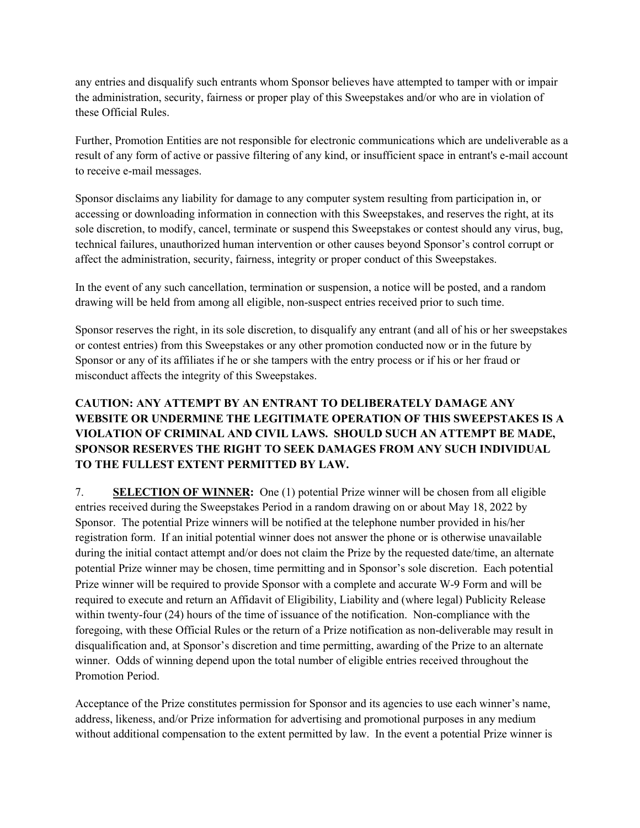any entries and disqualify such entrants whom Sponsor believes have attempted to tamper with or impair the administration, security, fairness or proper play of this Sweepstakes and/or who are in violation of these Official Rules.

Further, Promotion Entities are not responsible for electronic communications which are undeliverable as a result of any form of active or passive filtering of any kind, or insufficient space in entrant's e-mail account to receive e-mail messages.

Sponsor disclaims any liability for damage to any computer system resulting from participation in, or accessing or downloading information in connection with this Sweepstakes, and reserves the right, at its sole discretion, to modify, cancel, terminate or suspend this Sweepstakes or contest should any virus, bug, technical failures, unauthorized human intervention or other causes beyond Sponsor's control corrupt or affect the administration, security, fairness, integrity or proper conduct of this Sweepstakes.

In the event of any such cancellation, termination or suspension, a notice will be posted, and a random drawing will be held from among all eligible, non-suspect entries received prior to such time.

Sponsor reserves the right, in its sole discretion, to disqualify any entrant (and all of his or her sweepstakes or contest entries) from this Sweepstakes or any other promotion conducted now or in the future by Sponsor or any of its affiliates if he or she tampers with the entry process or if his or her fraud or misconduct affects the integrity of this Sweepstakes.

# **CAUTION: ANY ATTEMPT BY AN ENTRANT TO DELIBERATELY DAMAGE ANY WEBSITE OR UNDERMINE THE LEGITIMATE OPERATION OF THIS SWEEPSTAKES IS A VIOLATION OF CRIMINAL AND CIVIL LAWS. SHOULD SUCH AN ATTEMPT BE MADE, SPONSOR RESERVES THE RIGHT TO SEEK DAMAGES FROM ANY SUCH INDIVIDUAL TO THE FULLEST EXTENT PERMITTED BY LAW.**

7. **SELECTION OF WINNER:** One (1) potential Prize winner will be chosen from all eligible entries received during the Sweepstakes Period in a random drawing on or about May 18, 2022 by Sponsor. The potential Prize winners will be notified at the telephone number provided in his/her registration form. If an initial potential winner does not answer the phone or is otherwise unavailable during the initial contact attempt and/or does not claim the Prize by the requested date/time, an alternate potential Prize winner may be chosen, time permitting and in Sponsor's sole discretion. Each potential Prize winner will be required to provide Sponsor with a complete and accurate W-9 Form and will be required to execute and return an Affidavit of Eligibility, Liability and (where legal) Publicity Release within twenty-four (24) hours of the time of issuance of the notification. Non-compliance with the foregoing, with these Official Rules or the return of a Prize notification as non-deliverable may result in disqualification and, at Sponsor's discretion and time permitting, awarding of the Prize to an alternate winner. Odds of winning depend upon the total number of eligible entries received throughout the Promotion Period.

Acceptance of the Prize constitutes permission for Sponsor and its agencies to use each winner's name, address, likeness, and/or Prize information for advertising and promotional purposes in any medium without additional compensation to the extent permitted by law. In the event a potential Prize winner is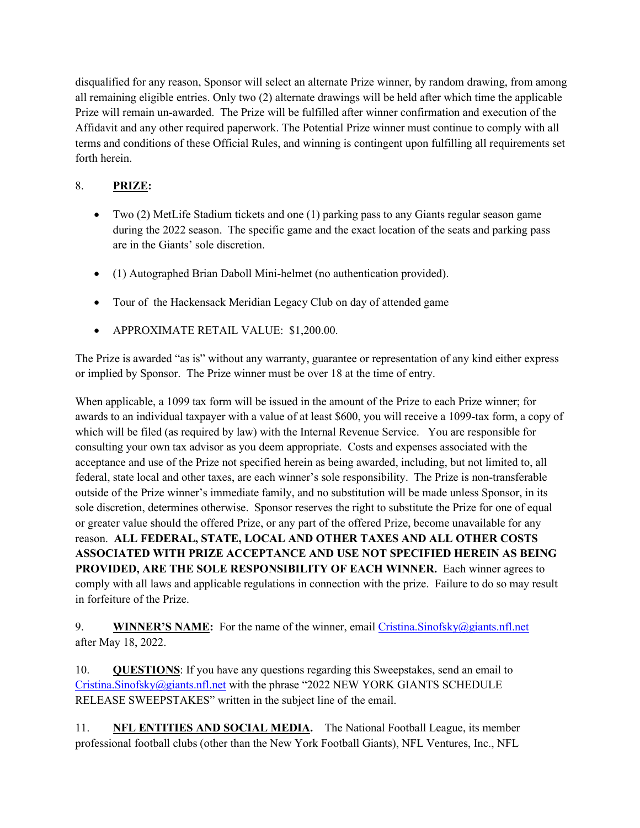disqualified for any reason, Sponsor will select an alternate Prize winner, by random drawing, from among all remaining eligible entries. Only two (2) alternate drawings will be held after which time the applicable Prize will remain un-awarded. The Prize will be fulfilled after winner confirmation and execution of the Affidavit and any other required paperwork. The Potential Prize winner must continue to comply with all terms and conditions of these Official Rules, and winning is contingent upon fulfilling all requirements set forth herein.

# 8. **PRIZE:**

- Two (2) MetLife Stadium tickets and one (1) parking pass to any Giants regular season game during the 2022 season. The specific game and the exact location of the seats and parking pass are in the Giants' sole discretion.
- (1) Autographed Brian Daboll Mini-helmet (no authentication provided).
- Tour of the Hackensack Meridian Legacy Club on day of attended game
- APPROXIMATE RETAIL VALUE: \$1,200.00.

The Prize is awarded "as is" without any warranty, guarantee or representation of any kind either express or implied by Sponsor. The Prize winner must be over 18 at the time of entry.

When applicable, a 1099 tax form will be issued in the amount of the Prize to each Prize winner; for awards to an individual taxpayer with a value of at least \$600, you will receive a 1099-tax form, a copy of which will be filed (as required by law) with the Internal Revenue Service. You are responsible for consulting your own tax advisor as you deem appropriate. Costs and expenses associated with the acceptance and use of the Prize not specified herein as being awarded, including, but not limited to, all federal, state local and other taxes, are each winner's sole responsibility. The Prize is non-transferable outside of the Prize winner's immediate family, and no substitution will be made unless Sponsor, in its sole discretion, determines otherwise. Sponsor reserves the right to substitute the Prize for one of equal or greater value should the offered Prize, or any part of the offered Prize, become unavailable for any reason. **ALL FEDERAL, STATE, LOCAL AND OTHER TAXES AND ALL OTHER COSTS ASSOCIATED WITH PRIZE ACCEPTANCE AND USE NOT SPECIFIED HEREIN AS BEING PROVIDED, ARE THE SOLE RESPONSIBILITY OF EACH WINNER.** Each winner agrees to comply with all laws and applicable regulations in connection with the prize. Failure to do so may result in forfeiture of the Prize.

9. **WINNER'S NAME:** For the name of the winner, email [Cristina.Sinofsky@giants.nfl.net](mailto:Cristina.Sinofsky@giants.nfl.net) after May 18, 2022.

10. **QUESTIONS**: If you have any questions regarding this Sweepstakes, send an email to [Cristina.Sinofsky@giants.nfl.net](mailto:Cristina.Sinofsky@giants.nfl.net) with the phrase "2022 NEW YORK GIANTS SCHEDULE RELEASE SWEEPSTAKES" written in the subject line of the email.

11. **NFL ENTITIES AND SOCIAL MEDIA.** The National Football League, its member professional football clubs (other than the New York Football Giants), NFL Ventures, Inc., NFL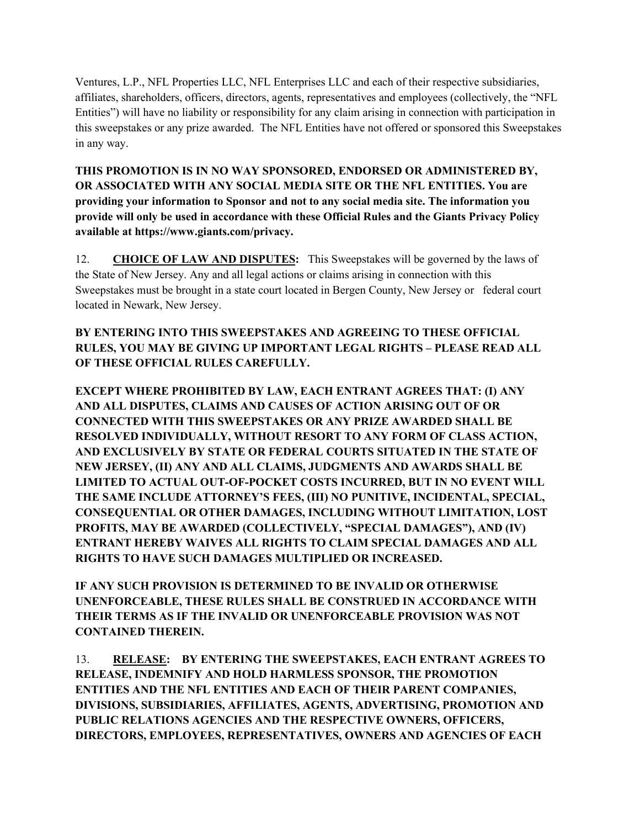Ventures, L.P., NFL Properties LLC, NFL Enterprises LLC and each of their respective subsidiaries, affiliates, shareholders, officers, directors, agents, representatives and employees (collectively, the "NFL Entities") will have no liability or responsibility for any claim arising in connection with participation in this sweepstakes or any prize awarded. The NFL Entities have not offered or sponsored this Sweepstakes in any way.

**THIS PROMOTION IS IN NO WAY SPONSORED, ENDORSED OR ADMINISTERED BY, OR ASSOCIATED WITH ANY SOCIAL MEDIA SITE OR THE NFL ENTITIES. You are providing your information to Sponsor and not to any social media site. The information you provide will only be used in accordance with these Official Rules and the Giants Privacy Policy available at https://www.giants.com/privacy.**

12. **CHOICE OF LAW AND DISPUTES:** This Sweepstakes will be governed by the laws of the State of New Jersey. Any and all legal actions or claims arising in connection with this Sweepstakes must be brought in a state court located in Bergen County, New Jersey or federal court located in Newark, New Jersey.

**BY ENTERING INTO THIS SWEEPSTAKES AND AGREEING TO THESE OFFICIAL RULES, YOU MAY BE GIVING UP IMPORTANT LEGAL RIGHTS – PLEASE READ ALL OF THESE OFFICIAL RULES CAREFULLY.**

**EXCEPT WHERE PROHIBITED BY LAW, EACH ENTRANT AGREES THAT: (I) ANY AND ALL DISPUTES, CLAIMS AND CAUSES OF ACTION ARISING OUT OF OR CONNECTED WITH THIS SWEEPSTAKES OR ANY PRIZE AWARDED SHALL BE RESOLVED INDIVIDUALLY, WITHOUT RESORT TO ANY FORM OF CLASS ACTION, AND EXCLUSIVELY BY STATE OR FEDERAL COURTS SITUATED IN THE STATE OF NEW JERSEY, (II) ANY AND ALL CLAIMS, JUDGMENTS AND AWARDS SHALL BE LIMITED TO ACTUAL OUT-OF-POCKET COSTS INCURRED, BUT IN NO EVENT WILL THE SAME INCLUDE ATTORNEY'S FEES, (III) NO PUNITIVE, INCIDENTAL, SPECIAL, CONSEQUENTIAL OR OTHER DAMAGES, INCLUDING WITHOUT LIMITATION, LOST PROFITS, MAY BE AWARDED (COLLECTIVELY, "SPECIAL DAMAGES"), AND (IV) ENTRANT HEREBY WAIVES ALL RIGHTS TO CLAIM SPECIAL DAMAGES AND ALL RIGHTS TO HAVE SUCH DAMAGES MULTIPLIED OR INCREASED.**

**IF ANY SUCH PROVISION IS DETERMINED TO BE INVALID OR OTHERWISE UNENFORCEABLE, THESE RULES SHALL BE CONSTRUED IN ACCORDANCE WITH THEIR TERMS AS IF THE INVALID OR UNENFORCEABLE PROVISION WAS NOT CONTAINED THEREIN.**

13. **RELEASE: BY ENTERING THE SWEEPSTAKES, EACH ENTRANT AGREES TO RELEASE, INDEMNIFY AND HOLD HARMLESS SPONSOR, THE PROMOTION ENTITIES AND THE NFL ENTITIES AND EACH OF THEIR PARENT COMPANIES, DIVISIONS, SUBSIDIARIES, AFFILIATES, AGENTS, ADVERTISING, PROMOTION AND PUBLIC RELATIONS AGENCIES AND THE RESPECTIVE OWNERS, OFFICERS, DIRECTORS, EMPLOYEES, REPRESENTATIVES, OWNERS AND AGENCIES OF EACH**